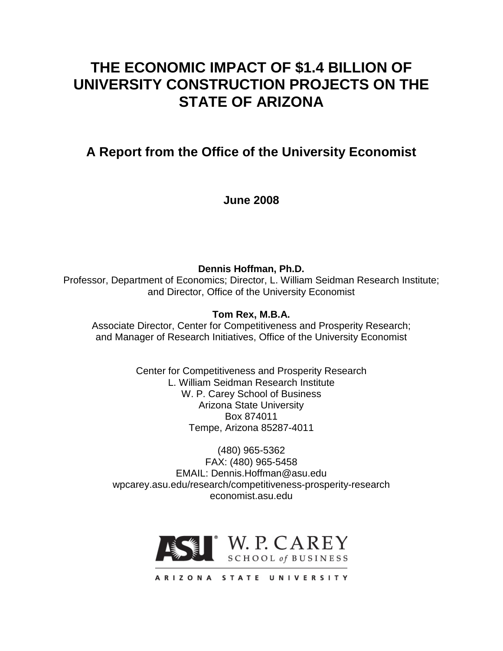# **THE ECONOMIC IMPACT OF \$1.4 BILLION OF UNIVERSITY CONSTRUCTION PROJECTS ON THE STATE OF ARIZONA**

**A Report from the Office of the University Economist**

**June 2008**

**Dennis Hoffman, Ph.D.** Professor, Department of Economics; Director, L. William Seidman Research Institute; and Director, Office of the University Economist

**Tom Rex, M.B.A.**

Associate Director, Center for Competitiveness and Prosperity Research; and Manager of Research Initiatives, Office of the University Economist

> Center for Competitiveness and Prosperity Research L. William Seidman Research Institute W. P. Carey School of Business Arizona State University Box 874011 Tempe, Arizona 85287-4011

(480) 965-5362 FAX: (480) 965-5458 EMAIL: Dennis.Hoffman@asu.edu wpcarey.asu.edu/research/competitiveness-prosperity-research economist.asu.edu

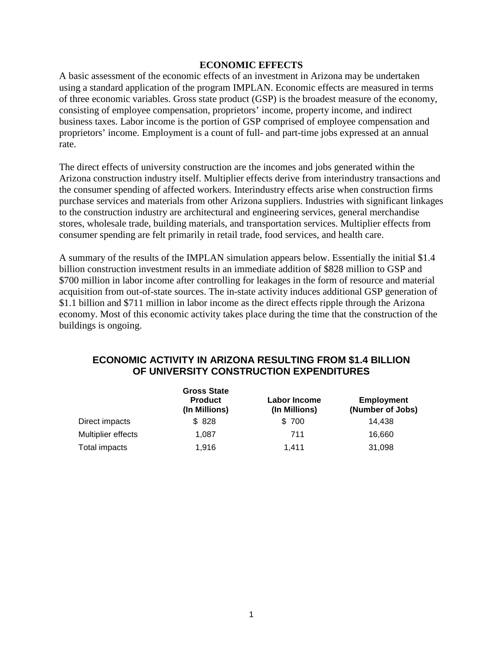### **ECONOMIC EFFECTS**

A basic assessment of the economic effects of an investment in Arizona may be undertaken using a standard application of the program IMPLAN. Economic effects are measured in terms of three economic variables. Gross state product (GSP) is the broadest measure of the economy, consisting of employee compensation, proprietors' income, property income, and indirect business taxes. Labor income is the portion of GSP comprised of employee compensation and proprietors' income. Employment is a count of full- and part-time jobs expressed at an annual rate.

The direct effects of university construction are the incomes and jobs generated within the Arizona construction industry itself. Multiplier effects derive from interindustry transactions and the consumer spending of affected workers. Interindustry effects arise when construction firms purchase services and materials from other Arizona suppliers. Industries with significant linkages to the construction industry are architectural and engineering services, general merchandise stores, wholesale trade, building materials, and transportation services. Multiplier effects from consumer spending are felt primarily in retail trade, food services, and health care.

A summary of the results of the IMPLAN simulation appears below. Essentially the initial \$1.4 billion construction investment results in an immediate addition of \$828 million to GSP and \$700 million in labor income after controlling for leakages in the form of resource and material acquisition from out-of-state sources. The in-state activity induces additional GSP generation of \$1.1 billion and \$711 million in labor income as the direct effects ripple through the Arizona economy. Most of this economic activity takes place during the time that the construction of the buildings is ongoing.

# **ECONOMIC ACTIVITY IN ARIZONA RESULTING FROM \$1.4 BILLION OF UNIVERSITY CONSTRUCTION EXPENDITURES**

|                    | <b>Gross State</b><br><b>Product</b><br>(In Millions) | <b>Labor Income</b><br>(In Millions) | <b>Employment</b><br>(Number of Jobs) |
|--------------------|-------------------------------------------------------|--------------------------------------|---------------------------------------|
| Direct impacts     | \$828                                                 | \$700                                | 14.438                                |
| Multiplier effects | 1.087                                                 | 711                                  | 16,660                                |
| Total impacts      | 1.916                                                 | 1.411                                | 31,098                                |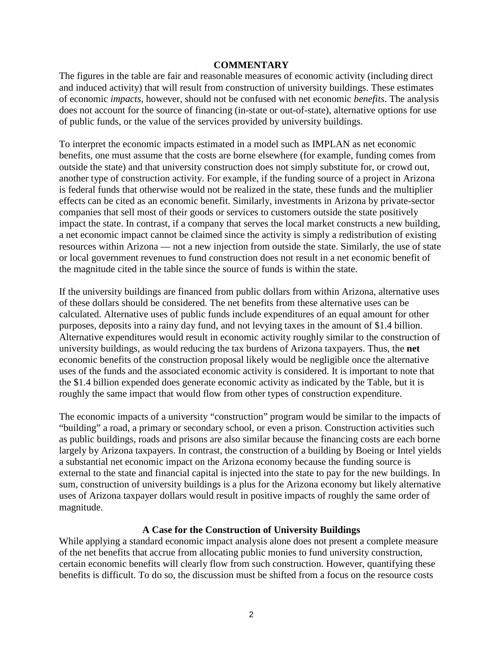#### **COMMENTARY**

The figures in the table are fair and reasonable measures of economic activity (including direct and induced activity) that will result from construction of university buildings. These estimates of economic *impacts*, however, should not be confused with net economic *benefits*. The analysis does not account for the source of financing (in-state or out-of-state), alternative options for use of public funds, or the value of the services provided by university buildings.

To interpret the economic impacts estimated in a model such as IMPLAN as net economic benefits, one must assume that the costs are borne elsewhere (for example, funding comes from outside the state) and that university construction does not simply substitute for, or crowd out, another type of construction activity. For example, if the funding source of a project in Arizona is federal funds that otherwise would not be realized in the state, these funds and the multiplier effects can be cited as an economic benefit. Similarly, investments in Arizona by private-sector companies that sell most of their goods or services to customers outside the state positively impact the state. In contrast, if a company that serves the local market constructs a new building, a net economic impact cannot be claimed since the activity is simply a redistribution of existing resources within Arizona — not a new injection from outside the state. Similarly, the use of state or local government revenues to fund construction does not result in a net economic benefit of the magnitude cited in the table since the source of funds is within the state.

If the university buildings are financed from public dollars from within Arizona, alternative uses of these dollars should be considered. The net benefits from these alternative uses can be calculated. Alternative uses of public funds include expenditures of an equal amount for other purposes, deposits into a rainy day fund, and not levying taxes in the amount of \$1.4 billion. Alternative expenditures would result in economic activity roughly similar to the construction of university buildings, as would reducing the tax burdens of Arizona taxpayers. Thus, the **net** economic benefits of the construction proposal likely would be negligible once the alternative uses of the funds and the associated economic activity is considered. It is important to note that the \$1.4 billion expended does generate economic activity as indicated by the Table, but it is roughly the same impact that would flow from other types of construction expenditure.

The economic impacts of a university "construction" program would be similar to the impacts of "building" a road, a primary or secondary school, or even a prison. Construction activities such as public buildings, roads and prisons are also similar because the financing costs are each borne largely by Arizona taxpayers. In contrast, the construction of a building by Boeing or Intel yields a substantial net economic impact on the Arizona economy because the funding source is external to the state and financial capital is injected into the state to pay for the new buildings. In sum, construction of university buildings is a plus for the Arizona economy but likely alternative uses of Arizona taxpayer dollars would result in positive impacts of roughly the same order of magnitude.

## **A Case for the Construction of University Buildings**

While applying a standard economic impact analysis alone does not present a complete measure of the net benefits that accrue from allocating public monies to fund university construction, certain economic benefits will clearly flow from such construction. However, quantifying these benefits is difficult. To do so, the discussion must be shifted from a focus on the resource costs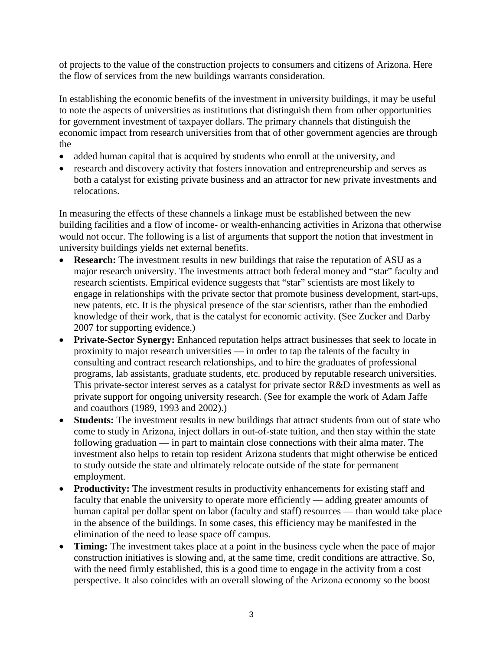of projects to the value of the construction projects to consumers and citizens of Arizona. Here the flow of services from the new buildings warrants consideration.

In establishing the economic benefits of the investment in university buildings, it may be useful to note the aspects of universities as institutions that distinguish them from other opportunities for government investment of taxpayer dollars. The primary channels that distinguish the economic impact from research universities from that of other government agencies are through the

- added human capital that is acquired by students who enroll at the university, and
- research and discovery activity that fosters innovation and entrepreneurship and serves as both a catalyst for existing private business and an attractor for new private investments and relocations.

In measuring the effects of these channels a linkage must be established between the new building facilities and a flow of income- or wealth-enhancing activities in Arizona that otherwise would not occur. The following is a list of arguments that support the notion that investment in university buildings yields net external benefits.

- **Research:** The investment results in new buildings that raise the reputation of ASU as a major research university. The investments attract both federal money and "star" faculty and research scientists. Empirical evidence suggests that "star" scientists are most likely to engage in relationships with the private sector that promote business development, start-ups, new patents, etc. It is the physical presence of the star scientists, rather than the embodied knowledge of their work, that is the catalyst for economic activity. (See Zucker and Darby 2007 for supporting evidence.)
- **Private-Sector Synergy:** Enhanced reputation helps attract businesses that seek to locate in proximity to major research universities — in order to tap the talents of the faculty in consulting and contract research relationships, and to hire the graduates of professional programs, lab assistants, graduate students, etc. produced by reputable research universities. This private-sector interest serves as a catalyst for private sector R&D investments as well as private support for ongoing university research. (See for example the work of Adam Jaffe and coauthors (1989, 1993 and 2002).)
- **Students:** The investment results in new buildings that attract students from out of state who come to study in Arizona, inject dollars in out-of-state tuition, and then stay within the state following graduation — in part to maintain close connections with their alma mater. The investment also helps to retain top resident Arizona students that might otherwise be enticed to study outside the state and ultimately relocate outside of the state for permanent employment.
- **Productivity:** The investment results in productivity enhancements for existing staff and faculty that enable the university to operate more efficiently — adding greater amounts of human capital per dollar spent on labor (faculty and staff) resources — than would take place in the absence of the buildings. In some cases, this efficiency may be manifested in the elimination of the need to lease space off campus.
- **Timing:** The investment takes place at a point in the business cycle when the pace of major construction initiatives is slowing and, at the same time, credit conditions are attractive. So, with the need firmly established, this is a good time to engage in the activity from a cost perspective. It also coincides with an overall slowing of the Arizona economy so the boost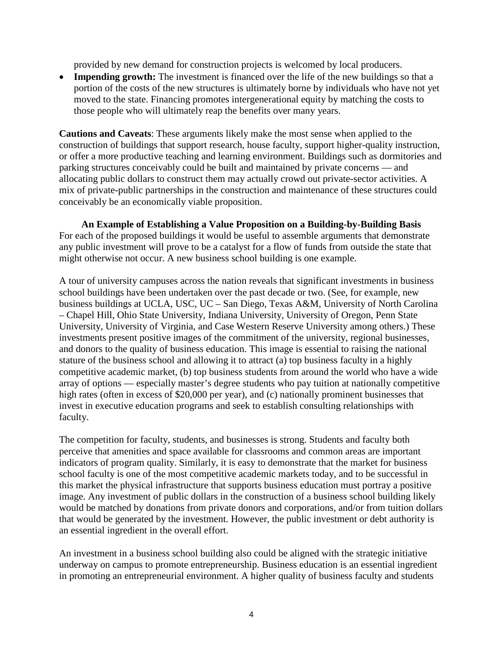provided by new demand for construction projects is welcomed by local producers.

**Impending growth:** The investment is financed over the life of the new buildings so that a portion of the costs of the new structures is ultimately borne by individuals who have not yet moved to the state. Financing promotes intergenerational equity by matching the costs to those people who will ultimately reap the benefits over many years.

**Cautions and Caveats**: These arguments likely make the most sense when applied to the construction of buildings that support research, house faculty, support higher-quality instruction, or offer a more productive teaching and learning environment. Buildings such as dormitories and parking structures conceivably could be built and maintained by private concerns — and allocating public dollars to construct them may actually crowd out private-sector activities. A mix of private-public partnerships in the construction and maintenance of these structures could conceivably be an economically viable proposition.

**An Example of Establishing a Value Proposition on a Building-by-Building Basis** For each of the proposed buildings it would be useful to assemble arguments that demonstrate any public investment will prove to be a catalyst for a flow of funds from outside the state that might otherwise not occur. A new business school building is one example.

A tour of university campuses across the nation reveals that significant investments in business school buildings have been undertaken over the past decade or two. (See, for example, new business buildings at UCLA, USC, UC – San Diego, Texas A&M, University of North Carolina – Chapel Hill, Ohio State University, Indiana University, University of Oregon, Penn State University, University of Virginia, and Case Western Reserve University among others.) These investments present positive images of the commitment of the university, regional businesses, and donors to the quality of business education. This image is essential to raising the national stature of the business school and allowing it to attract (a) top business faculty in a highly competitive academic market, (b) top business students from around the world who have a wide array of options — especially master's degree students who pay tuition at nationally competitive high rates (often in excess of \$20,000 per year), and (c) nationally prominent businesses that invest in executive education programs and seek to establish consulting relationships with faculty.

The competition for faculty, students, and businesses is strong. Students and faculty both perceive that amenities and space available for classrooms and common areas are important indicators of program quality. Similarly, it is easy to demonstrate that the market for business school faculty is one of the most competitive academic markets today, and to be successful in this market the physical infrastructure that supports business education must portray a positive image. Any investment of public dollars in the construction of a business school building likely would be matched by donations from private donors and corporations, and/or from tuition dollars that would be generated by the investment. However, the public investment or debt authority is an essential ingredient in the overall effort.

An investment in a business school building also could be aligned with the strategic initiative underway on campus to promote entrepreneurship. Business education is an essential ingredient in promoting an entrepreneurial environment. A higher quality of business faculty and students